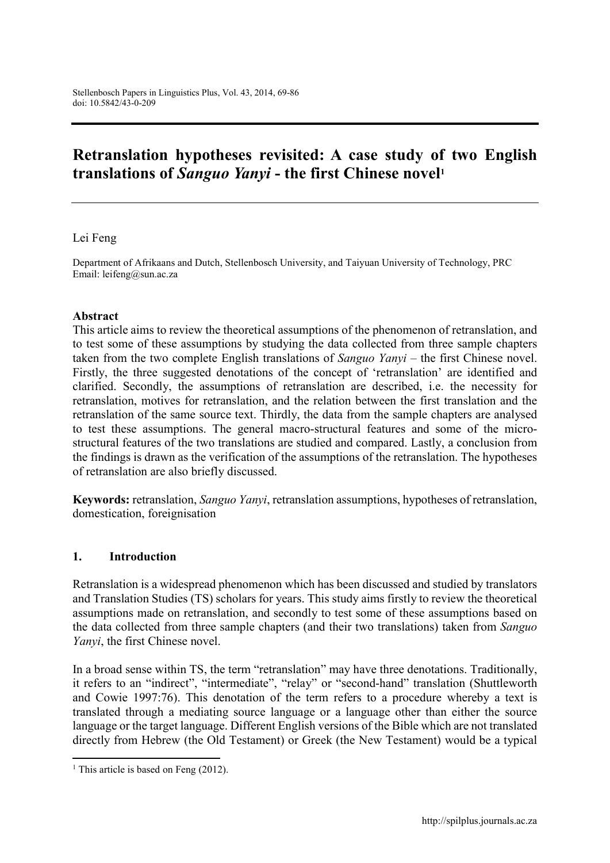# Retranslation hypotheses revisited: A case study of two English translations of *Sanguo Yanyi* - the first Chinese novel1

#### Lei Feng

Department of Afrikaans and Dutch, Stellenbosch University, and Taiyuan University of Technology, PRC Email: leifeng@sun.ac.za

#### Abstract

This article aims to review the theoretical assumptions of the phenomenon of retranslation, and to test some of these assumptions by studying the data collected from three sample chapters taken from the two complete English translations of *Sanguo Yanyi* – the first Chinese novel. Firstly, the three suggested denotations of the concept of 'retranslation' are identified and clarified. Secondly, the assumptions of retranslation are described, i.e. the necessity for retranslation, motives for retranslation, and the relation between the first translation and the retranslation of the same source text. Thirdly, the data from the sample chapters are analysed to test these assumptions. The general macro-structural features and some of the microstructural features of the two translations are studied and compared. Lastly, a conclusion from the findings is drawn as the verification of the assumptions of the retranslation. The hypotheses of retranslation are also briefly discussed.

Keywords: retranslation, *Sanguo Yanyi*, retranslation assumptions, hypotheses of retranslation, domestication, foreignisation

#### 1. Introduction

Retranslation is a widespread phenomenon which has been discussed and studied by translators and Translation Studies (TS) scholars for years. This study aims firstly to review the theoretical assumptions made on retranslation, and secondly to test some of these assumptions based on the data collected from three sample chapters (and their two translations) taken from *Sanguo Yanyi*, the first Chinese novel.

In a broad sense within TS, the term "retranslation" may have three denotations. Traditionally, it refers to an "indirect", "intermediate", "relay" or "second-hand" translation (Shuttleworth and Cowie 1997:76). This denotation of the term refers to a procedure whereby a text is translated through a mediating source language or a language other than either the source language or the target language. Different English versions of the Bible which are not translated directly from Hebrew (the Old Testament) or Greek (the New Testament) would be a typical

 $\overline{\phantom{a}}$ 

<sup>&</sup>lt;sup>1</sup> This article is based on Feng  $(2012)$ .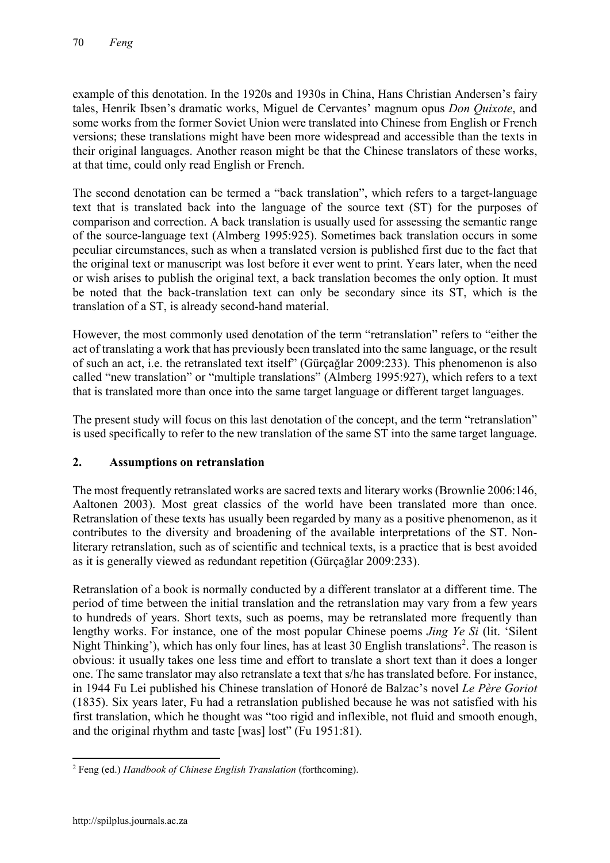example of this denotation. In the 1920s and 1930s in China, [Hans Christian Andersen'](http://en.wikipedia.org/wiki/hans_christian_andersen)s fairy tales, Henrik Ibsen's dramatic works, Miguel de Cervantes' [magnum opus](http://en.wikipedia.org/wiki/magnum_opus) *[Don Quixote](http://en.wikipedia.org/wiki/don_quixote)*, and some works from the former Soviet Union were translated into Chinese from English or French versions; these translations might have been more widespread and accessible than the texts in their original languages. Another reason might be that the Chinese translators of these works, at that time, could only read English or French.

The second denotation can be termed a "back translation", which refers to a target-language text that is translated back into the language of the source text (ST) for the purposes of comparison and correction. A back translation is usually used for assessing the semantic range of the source-language text (Almberg 1995:925). Sometimes back translation occurs in some peculiar circumstances, such as when a translated version is published first due to the fact that the original text or manuscript was lost before it ever went to print. Years later, when the need or wish arises to publish the original text, a back translation becomes the only option. It must be noted that the back-translation text can only be secondary since its ST, which is the translation of a ST, is already second-hand material.

However, the most commonly used denotation of the term "retranslation" refers to "either the act of translating a work that has previously been translated into the same language, or the result of such an act, i.e. the retranslated text itself" (Gürçağlar 2009:233). This phenomenon is also called "new translation" or "multiple translations" (Almberg 1995:927), which refers to a text that is translated more than once into the same target language or different target languages.

The present study will focus on this last denotation of the concept, and the term "retranslation" is used specifically to refer to the new translation of the same ST into the same target language.

# 2. Assumptions on retranslation

The most frequently retranslated works are sacred texts and literary works (Brownlie 2006:146, Aaltonen 2003). Most great classics of the world have been translated more than once. Retranslation of these texts has usually been regarded by many as a positive phenomenon, as it contributes to the diversity and broadening of the available interpretations of the ST. Nonliterary retranslation, such as of scientific and technical texts, is a practice that is best avoided as it is generally viewed as redundant repetition (Gürçağlar 2009:233).

Retranslation of a book is normally conducted by a different translator at a different time. The period of time between the initial translation and the retranslation may vary from a few years to hundreds of years. Short texts, such as poems, may be retranslated more frequently than lengthy works. For instance, one of the most popular Chinese poems *Jing Ye Si* (lit. 'Silent Night Thinking'), which has only four lines, has at least 30 English translations<sup>2</sup>. The reason is obvious: it usually takes one less time and effort to translate a short text than it does a longer one. The same translator may also retranslate a text that s/he has translated before. For instance, in 1944 Fu Lei published his Chinese translation of Honoré de Balzac's novel *[Le Père Goriot](http://en.wikipedia.org/wiki/le_p%25c3%25a8re_goriot)* (1835). Six years later, Fu had a retranslation published because he was not satisfied with his first translation, which he thought was "too rigid and inflexible, not fluid and smooth enough, and the original rhythm and taste [was] lost" (Fu 1951:81).

 $\overline{\phantom{a}}$ <sup>2</sup> Feng (ed.) *Handbook of Chinese English Translation* (forthcoming).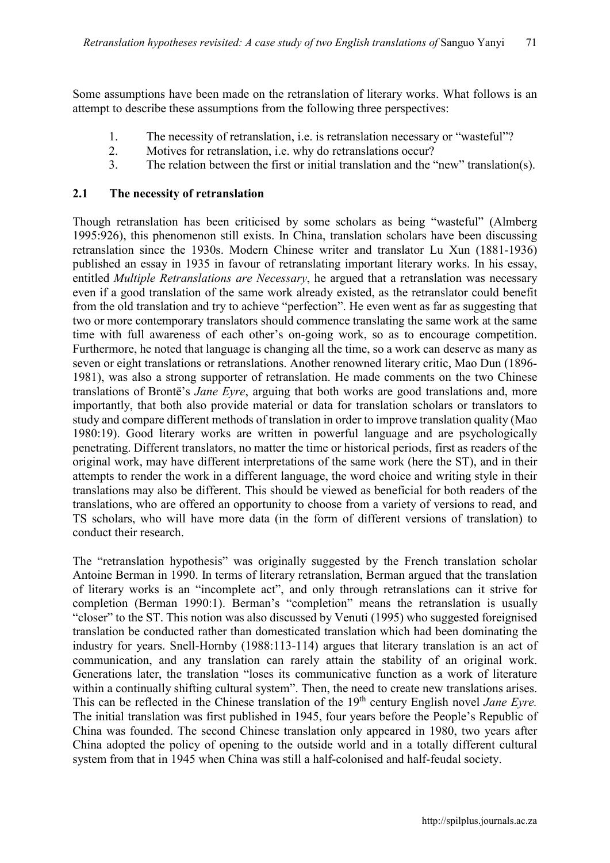Some assumptions have been made on the retranslation of literary works. What follows is an attempt to describe these assumptions from the following three perspectives:

- 1. The necessity of retranslation, i.e. is retranslation necessary or "wasteful"?
- 2. Motives for retranslation, i.e. why do retranslations occur?
- 3. The relation between the first or initial translation and the "new" translation(s).

#### 2.1 The necessity of retranslation

Though retranslation has been criticised by some scholars as being "wasteful" (Almberg 1995:926), this phenomenon still exists. In China, translation scholars have been discussing retranslation since the 1930s. Modern Chinese writer and translator Lu Xun (1881-1936) published an essay in 1935 in favour of retranslating important literary works. In his essay, entitled *Multiple Retranslations are Necessary*, he argued that a retranslation was necessary even if a good translation of the same work already existed, as the retranslator could benefit from the old translation and try to achieve "perfection". He even went as far as suggesting that two or more contemporary translators should commence translating the same work at the same time with full awareness of each other's on-going work, so as to encourage competition. Furthermore, he noted that language is changing all the time, so a work can deserve as many as seven or eight translations or retranslations. Another renowned literary critic, Mao Dun (1896- 1981), was also a strong supporter of retranslation. He made comments on the two Chinese translations of Brontë's *Jane Eyre*, arguing that both works are good translations and, more importantly, that both also provide material or data for translation scholars or translators to study and compare different methods of translation in order to improve translation quality (Mao 1980:19). Good literary works are written in powerful language and are psychologically penetrating. Different translators, no matter the time or historical periods, first as readers of the original work, may have different interpretations of the same work (here the ST), and in their attempts to render the work in a different language, the word choice and writing style in their translations may also be different. This should be viewed as beneficial for both readers of the translations, who are offered an opportunity to choose from a variety of versions to read, and TS scholars, who will have more data (in the form of different versions of translation) to conduct their research.

The "retranslation hypothesis" was originally suggested by the French translation scholar Antoine Berman in 1990. In terms of literary retranslation, Berman argued that the translation of literary works is an "incomplete act", and only through retranslations can it strive for completion (Berman 1990:1). Berman's "completion" means the retranslation is usually "closer" to the ST. This notion was also discussed by Venuti (1995) who suggested foreignised translation be conducted rather than domesticated translation which had been dominating the industry for years. Snell-Hornby (1988:113-114) argues that literary translation is an act of communication, and any translation can rarely attain the stability of an original work. Generations later, the translation "loses its communicative function as a work of literature within a continually shifting cultural system". Then, the need to create new translations arises. This can be reflected in the Chinese translation of the 19<sup>th</sup> century English novel *Jane Eyre*. The initial translation was first published in 1945, four years before the People's Republic of China was founded. The second Chinese translation only appeared in 1980, two years after China adopted the policy of opening to the outside world and in a totally different cultural system from that in 1945 when China was still a half-colonised and half-feudal society.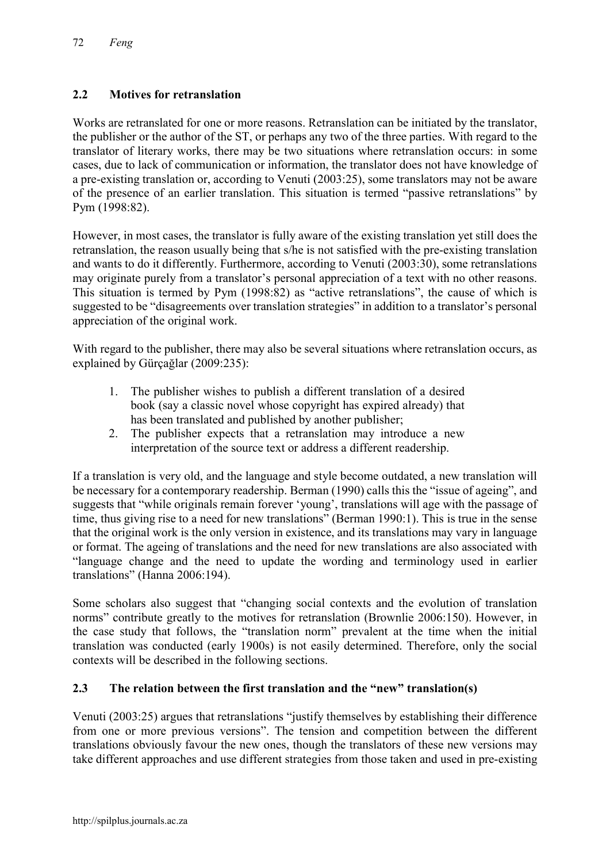# 2.2 Motives for retranslation

Works are retranslated for one or more reasons. Retranslation can be initiated by the translator, the publisher or the author of the ST, or perhaps any two of the three parties. With regard to the translator of literary works, there may be two situations where retranslation occurs: in some cases, due to lack of communication or information, the translator does not have knowledge of a pre-existing translation or, according to Venuti (2003:25), some translators may not be aware of the presence of an earlier translation. This situation is termed "passive retranslations" by Pym (1998:82).

However, in most cases, the translator is fully aware of the existing translation yet still does the retranslation, the reason usually being that s/he is not satisfied with the pre-existing translation and wants to do it differently. Furthermore, according to Venuti (2003:30), some retranslations may originate purely from a translator's personal appreciation of a text with no other reasons. This situation is termed by Pym (1998:82) as "active retranslations", the cause of which is suggested to be "disagreements over translation strategies" in addition to a translator's personal appreciation of the original work.

With regard to the publisher, there may also be several situations where retranslation occurs, as explained by Gürçağlar (2009:235):

- 1. The publisher wishes to publish a different translation of a desired book (say a classic novel whose copyright has expired already) that has been translated and published by another publisher;
- 2. The publisher expects that a retranslation may introduce a new interpretation of the source text or address a different readership.

If a translation is very old, and the language and style become outdated, a new translation will be necessary for a contemporary readership. Berman (1990) calls this the "issue of ageing", and suggests that "while originals remain forever 'young', translations will age with the passage of time, thus giving rise to a need for new translations" (Berman 1990:1). This is true in the sense that the original work is the only version in existence, and its translations may vary in language or format. The ageing of translations and the need for new translations are also associated with "language change and the need to update the wording and terminology used in earlier translations" (Hanna 2006:194).

Some scholars also suggest that "changing social contexts and the evolution of translation norms" contribute greatly to the motives for retranslation (Brownlie 2006:150). However, in the case study that follows, the "translation norm" prevalent at the time when the initial translation was conducted (early 1900s) is not easily determined. Therefore, only the social contexts will be described in the following sections.

## 2.3 The relation between the first translation and the "new" translation(s)

Venuti (2003:25) argues that retranslations "justify themselves by establishing their difference from one or more previous versions". The tension and competition between the different translations obviously favour the new ones, though the translators of these new versions may take different approaches and use different strategies from those taken and used in pre-existing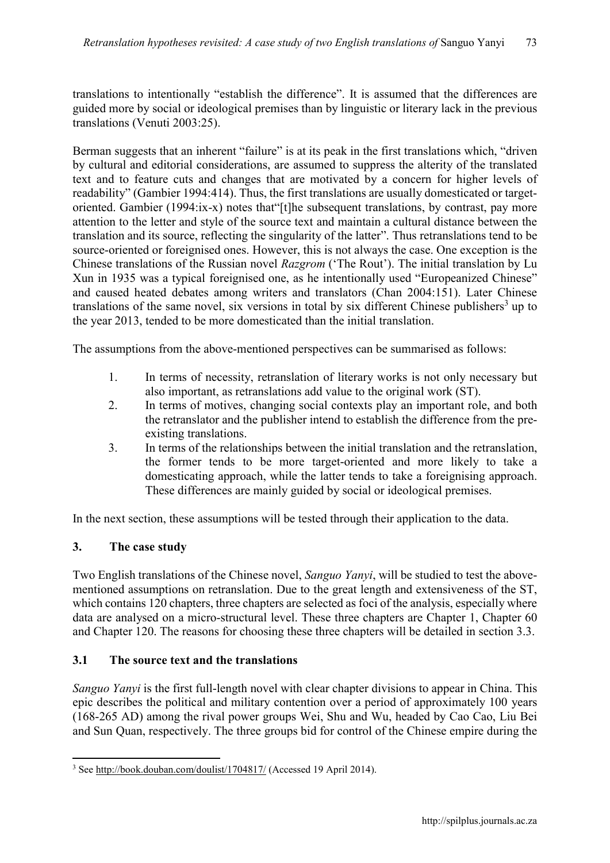translations to intentionally "establish the difference". It is assumed that the differences are guided more by social or ideological premises than by linguistic or literary lack in the previous translations (Venuti 2003:25).

Berman suggests that an inherent "failure" is at its peak in the first translations which, "driven by cultural and editorial considerations, are assumed to suppress the alterity of the translated text and to feature cuts and changes that are motivated by a concern for higher levels of readability" (Gambier 1994:414). Thus, the first translations are usually domesticated or targetoriented. Gambier (1994:ix-x) notes that"[t]he subsequent translations, by contrast, pay more attention to the letter and style of the source text and maintain a cultural distance between the translation and its source, reflecting the singularity of the latter". Thus retranslations tend to be source-oriented or foreignised ones. However, this is not always the case. One exception is the Chinese translations of the Russian novel *Razgrom* ('The Rout'). The initial translation by Lu Xun in 1935 was a typical foreignised one, as he intentionally used "Europeanized Chinese" and caused heated debates among writers and translators (Chan 2004:151). Later Chinese translations of the same novel, six versions in total by six different Chinese publishers<sup>3</sup> up to the year 2013, tended to be more domesticated than the initial translation.

The assumptions from the above-mentioned perspectives can be summarised as follows:

- 1. In terms of necessity, retranslation of literary works is not only necessary but also important, as retranslations add value to the original work (ST).
- 2. In terms of motives, changing social contexts play an important role, and both the retranslator and the publisher intend to establish the difference from the preexisting translations.
- 3. In terms of the relationships between the initial translation and the retranslation, the former tends to be more target-oriented and more likely to take a domesticating approach, while the latter tends to take a foreignising approach. These differences are mainly guided by social or ideological premises.

In the next section, these assumptions will be tested through their application to the data.

## 3. The case study

 $\overline{\phantom{a}}$ 

Two English translations of the Chinese novel, *Sanguo Yanyi*, will be studied to test the abovementioned assumptions on retranslation. Due to the great length and extensiveness of the ST, which contains 120 chapters, three chapters are selected as foci of the analysis, especially where data are analysed on a micro-structural level. These three chapters are Chapter 1, Chapter 60 and Chapter 120. The reasons for choosing these three chapters will be detailed in section 3.3.

# 3.1 The source text and the translations

*Sanguo Yanyi* is the first full-length novel with clear chapter divisions to appear in China. This epic describes the political and military contention over a period of approximately 100 years (168-265 AD) among the rival power groups Wei, Shu and Wu, headed by Cao Cao, Liu Bei and Sun Quan, respectively. The three groups bid for control of the Chinese empire during the

<sup>3</sup> See http://book.douban.com/doulist/1704817/ (Accessed 19 April 2014).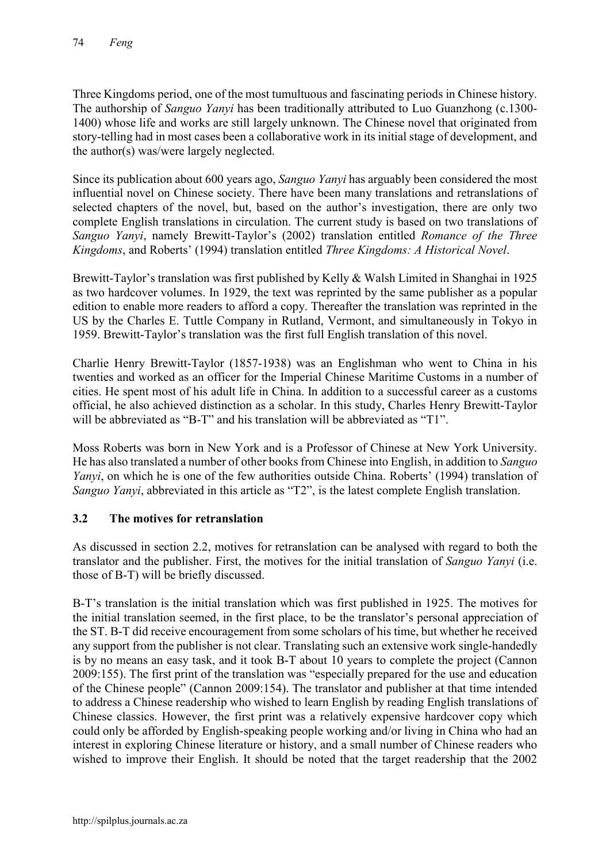Three Kingdoms period, one of the most tumultuous and fascinating periods in Chinese history. The authorship of *Sanguo Yanyi* has been traditionally attributed to Luo Guanzhong (c.1300- 1400) whose life and works are still largely unknown. The Chinese novel that originated from story-telling had in most cases been a collaborative work in its initial stage of development, and the author(s) was/were largely neglected.

Since its publication about 600 years ago, *Sanguo Yanyi* has arguably been considered the most influential novel on Chinese society. There have been many translations and retranslations of selected chapters of the novel, but, based on the author's investigation, there are only two complete English translations in circulation. The current study is based on two translations of *Sanguo Yanyi*, namely Brewitt-Taylor's (2002) translation entitled *Romance of the Three Kingdoms*, and Roberts' (1994) translation entitled *Three Kingdoms: A Historical Novel*.

Brewitt-Taylor's translation was first published by Kelly & Walsh Limited in Shanghai in 1925 as two hardcover volumes. In 1929, the text was reprinted by the same publisher as a popular edition to enable more readers to afford a copy. Thereafter the translation was reprinted in the US by the Charles E. Tuttle Company in Rutland, Vermont, and simultaneously in Tokyo in 1959. Brewitt-Taylor's translation was the first full English translation of this novel.

Charlie Henry Brewitt-Taylor (1857-1938) was an Englishman who went to China in his twenties and worked as an officer for the Imperial Chinese Maritime Customs in a number of cities. He spent most of his adult life in China. In addition to a successful career as a customs official, he also achieved distinction as a scholar. In this study, Charles Henry Brewitt-Taylor will be abbreviated as "B-T" and his translation will be abbreviated as "T1".

Moss Roberts was born in New York and is a Professor of Chinese at New York University. He has also translated a number of other books from Chinese into English, in addition to *Sanguo Yanyi*, on which he is one of the few authorities outside China. Roberts' (1994) translation of *Sanguo Yanyi*, abbreviated in this article as "T2", is the latest complete English translation.

# 3.2 The motives for retranslation

As discussed in section 2.2, motives for retranslation can be analysed with regard to both the translator and the publisher. First, the motives for the initial translation of *Sanguo Yanyi* (i.e. those of B-T) will be briefly discussed.

B-T's translation is the initial translation which was first published in 1925. The motives for the initial translation seemed, in the first place, to be the translator's personal appreciation of the ST. B-T did receive encouragement from some scholars of his time, but whether he received any support from the publisher is not clear. Translating such an extensive work single-handedly is by no means an easy task, and it took B-T about 10 years to complete the project (Cannon 2009:155). The first print of the translation was "especially prepared for the use and education of the Chinese people" (Cannon 2009:154). The translator and publisher at that time intended to address a Chinese readership who wished to learn English by reading English translations of Chinese classics. However, the first print was a relatively expensive hardcover copy which could only be afforded by English-speaking people working and/or living in China who had an interest in exploring Chinese literature or history, and a small number of Chinese readers who wished to improve their English. It should be noted that the target readership that the 2002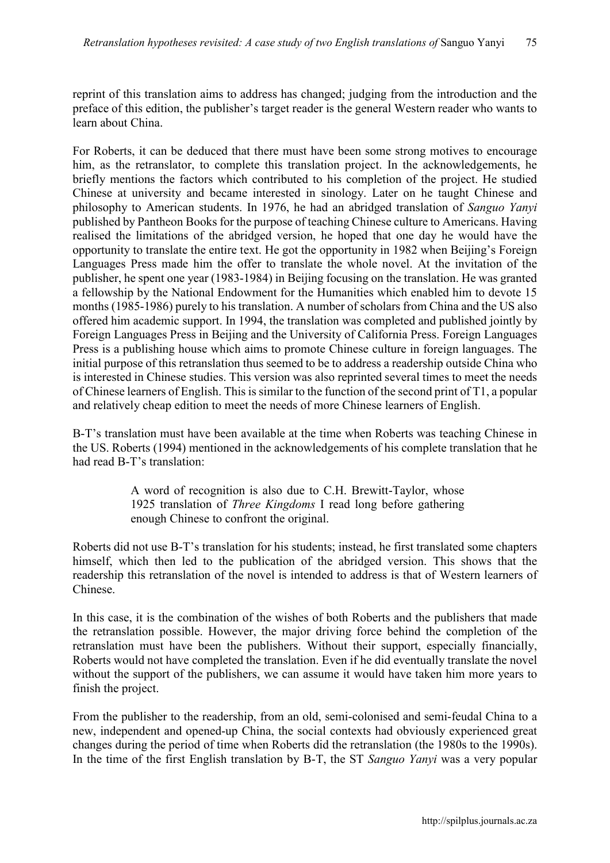reprint of this translation aims to address has changed; judging from the introduction and the preface of this edition, the publisher's target reader is the general Western reader who wants to learn about China.

For Roberts, it can be deduced that there must have been some strong motives to encourage him, as the retranslator, to complete this translation project. In the acknowledgements, he briefly mentions the factors which contributed to his completion of the project. He studied Chinese at university and became interested in sinology. Later on he taught Chinese and philosophy to American students. In 1976, he had an abridged translation of *Sanguo Yanyi* published by Pantheon Books for the purpose of teaching Chinese culture to Americans. Having realised the limitations of the abridged version, he hoped that one day he would have the opportunity to translate the entire text. He got the opportunity in 1982 when Beijing's Foreign Languages Press made him the offer to translate the whole novel. At the invitation of the publisher, he spent one year (1983-1984) in Beijing focusing on the translation. He was granted a fellowship by the National Endowment for the Humanities which enabled him to devote 15 months (1985-1986) purely to his translation. A number of scholars from China and the US also offered him academic support. In 1994, the translation was completed and published jointly by Foreign Languages Press in Beijing and the University of California Press. Foreign Languages Press is a publishing house which aims to promote Chinese culture in foreign languages. The initial purpose of this retranslation thus seemed to be to address a readership outside China who is interested in Chinese studies. This version was also reprinted several times to meet the needs of Chinese learners of English. This issimilar to the function of the second print of T1, a popular and relatively cheap edition to meet the needs of more Chinese learners of English.

B-T's translation must have been available at the time when Roberts was teaching Chinese in the US. Roberts (1994) mentioned in the acknowledgements of his complete translation that he had read B-T's translation:

> A word of recognition is also due to C.H. Brewitt-Taylor, whose 1925 translation of *Three Kingdoms* I read long before gathering enough Chinese to confront the original.

Roberts did not use B-T's translation for his students; instead, he first translated some chapters himself, which then led to the publication of the abridged version. This shows that the readership this retranslation of the novel is intended to address is that of Western learners of Chinese.

In this case, it is the combination of the wishes of both Roberts and the publishers that made the retranslation possible. However, the major driving force behind the completion of the retranslation must have been the publishers. Without their support, especially financially, Roberts would not have completed the translation. Even if he did eventually translate the novel without the support of the publishers, we can assume it would have taken him more years to finish the project.

From the publisher to the readership, from an old, semi-colonised and semi-feudal China to a new, independent and opened-up China, the social contexts had obviously experienced great changes during the period of time when Roberts did the retranslation (the 1980s to the 1990s). In the time of the first English translation by B-T, the ST *Sanguo Yanyi* was a very popular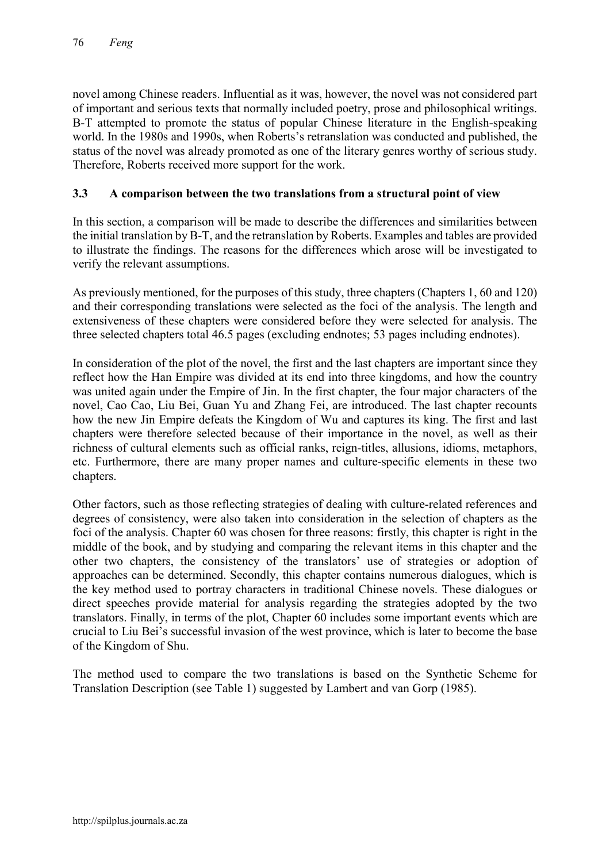novel among Chinese readers. Influential as it was, however, the novel was not considered part of important and serious texts that normally included poetry, prose and philosophical writings. B-T attempted to promote the status of popular Chinese literature in the English-speaking world. In the 1980s and 1990s, when Roberts's retranslation was conducted and published, the status of the novel was already promoted as one of the literary genres worthy of serious study. Therefore, Roberts received more support for the work.

# 3.3 A comparison between the two translations from a structural point of view

In this section, a comparison will be made to describe the differences and similarities between the initial translation by B-T, and the retranslation by Roberts. Examples and tables are provided to illustrate the findings. The reasons for the differences which arose will be investigated to verify the relevant assumptions.

As previously mentioned, for the purposes of this study, three chapters (Chapters 1, 60 and 120) and their corresponding translations were selected as the foci of the analysis. The length and extensiveness of these chapters were considered before they were selected for analysis. The three selected chapters total 46.5 pages (excluding endnotes; 53 pages including endnotes).

In consideration of the plot of the novel, the first and the last chapters are important since they reflect how the Han Empire was divided at its end into three kingdoms, and how the country was united again under the Empire of Jin. In the first chapter, the four major characters of the novel, Cao Cao, Liu Bei, Guan Yu and Zhang Fei, are introduced. The last chapter recounts how the new Jin Empire defeats the Kingdom of Wu and captures its king. The first and last chapters were therefore selected because of their importance in the novel, as well as their richness of cultural elements such as official ranks, reign-titles, allusions, idioms, metaphors, etc. Furthermore, there are many proper names and culture-specific elements in these two chapters.

Other factors, such as those reflecting strategies of dealing with culture-related references and degrees of consistency, were also taken into consideration in the selection of chapters as the foci of the analysis. Chapter 60 was chosen for three reasons: firstly, this chapter is right in the middle of the book, and by studying and comparing the relevant items in this chapter and the other two chapters, the consistency of the translators' use of strategies or adoption of approaches can be determined. Secondly, this chapter contains numerous dialogues, which is the key method used to portray characters in traditional Chinese novels. These dialogues or direct speeches provide material for analysis regarding the strategies adopted by the two translators. Finally, in terms of the plot, Chapter 60 includes some important events which are crucial to Liu Bei's successful invasion of the west province, which is later to become the base of the Kingdom of Shu.

The method used to compare the two translations is based on the Synthetic Scheme for Translation Description (see Table 1) suggested by Lambert and van Gorp (1985).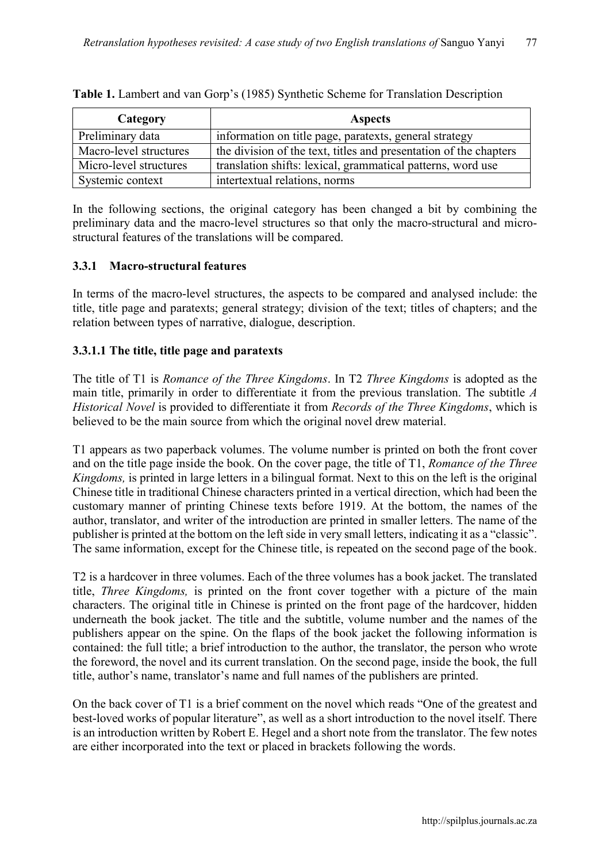| Category               | <b>Aspects</b>                                                    |
|------------------------|-------------------------------------------------------------------|
| Preliminary data       | information on title page, paratexts, general strategy            |
| Macro-level structures | the division of the text, titles and presentation of the chapters |
| Micro-level structures | translation shifts: lexical, grammatical patterns, word use       |
| Systemic context       | intertextual relations, norms                                     |

Table 1. Lambert and van Gorp's (1985) Synthetic Scheme for Translation Description

In the following sections, the original category has been changed a bit by combining the preliminary data and the macro-level structures so that only the macro-structural and microstructural features of the translations will be compared.

#### 3.3.1 Macro-structural features

In terms of the macro-level structures, the aspects to be compared and analysed include: the title, title page and paratexts; general strategy; division of the text; titles of chapters; and the relation between types of narrative, dialogue, description.

## 3.3.1.1 The title, title page and paratexts

The title of T1 is *Romance of the Three Kingdoms*. In T2 *Three Kingdoms* is adopted as the main title, primarily in order to differentiate it from the previous translation. The subtitle *A Historical Novel* is provided to differentiate it from *Records of the Three Kingdoms*, which is believed to be the main source from which the original novel drew material.

T1 appears as two paperback volumes. The volume number is printed on both the front cover and on the title page inside the book. On the cover page, the title of T1, *Romance of the Three Kingdoms,* is printed in large letters in a bilingual format. Next to this on the left is the original Chinese title in traditional Chinese characters printed in a vertical direction, which had been the customary manner of printing Chinese texts before 1919. At the bottom, the names of the author, translator, and writer of the introduction are printed in smaller letters. The name of the publisher is printed at the bottom on the left side in very small letters, indicating it as a "classic". The same information, except for the Chinese title, is repeated on the second page of the book.

T2 is a hardcover in three volumes. Each of the three volumes has a book jacket. The translated title, *Three Kingdoms,* is printed on the front cover together with a picture of the main characters. The original title in Chinese is printed on the front page of the hardcover, hidden underneath the book jacket. The title and the subtitle, volume number and the names of the publishers appear on the spine. On the flaps of the book jacket the following information is contained: the full title; a brief introduction to the author, the translator, the person who wrote the foreword, the novel and its current translation. On the second page, inside the book, the full title, author's name, translator's name and full names of the publishers are printed.

On the back cover of T1 is a brief comment on the novel which reads "One of the greatest and best-loved works of popular literature", as well as a short introduction to the novel itself. There is an introduction written by Robert E. Hegel and a short note from the translator. The few notes are either incorporated into the text or placed in brackets following the words.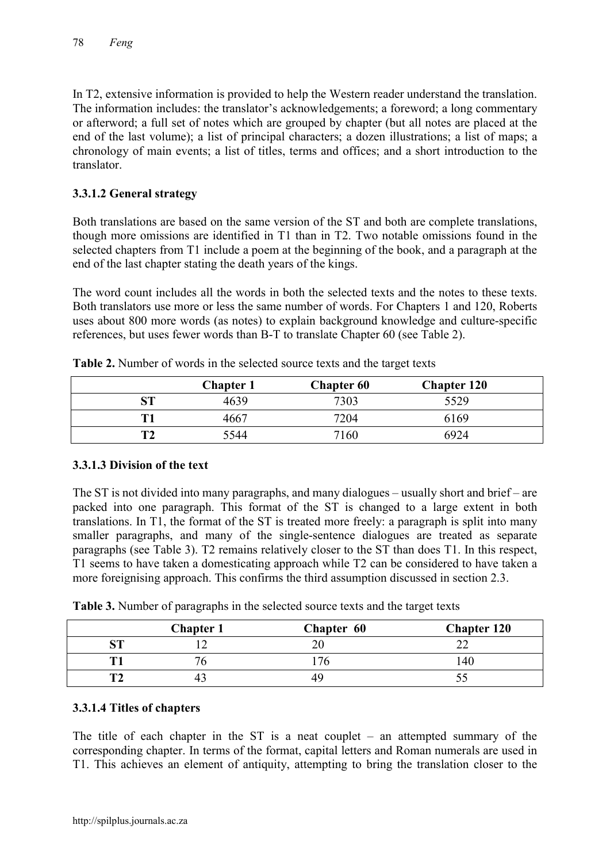In T2, extensive information is provided to help the Western reader understand the translation. The information includes: the translator's acknowledgements; a foreword; a long commentary or afterword; a full set of notes which are grouped by chapter (but all notes are placed at the end of the last volume); a list of principal characters; a dozen illustrations; a list of maps; a chronology of main events; a list of titles, terms and offices; and a short introduction to the translator.

# 3.3.1.2 General strategy

Both translations are based on the same version of the ST and both are complete translations, though more omissions are identified in T1 than in T2. Two notable omissions found in the selected chapters from T1 include a poem at the beginning of the book, and a paragraph at the end of the last chapter stating the death years of the kings.

The word count includes all the words in both the selected texts and the notes to these texts. Both translators use more or less the same number of words. For Chapters 1 and 120, Roberts uses about 800 more words (as notes) to explain background knowledge and culture-specific references, but uses fewer words than B-T to translate Chapter 60 (see Table 2).

|    | <b>Chapter 1</b> | <b>Chapter 60</b> | <b>Chapter 120</b> |  |
|----|------------------|-------------------|--------------------|--|
| SТ | 4639             | 7303              | 5529               |  |
| Т1 | 4667             | 7204              | 6169               |  |
| T2 | 5544             | 7160              | 6924               |  |

Table 2. Number of words in the selected source texts and the target texts

## 3.3.1.3 Division of the text

The ST is not divided into many paragraphs, and many dialogues – usually short and brief – are packed into one paragraph. This format of the ST is changed to a large extent in both translations. In T1, the format of the ST is treated more freely: a paragraph is split into many smaller paragraphs, and many of the single-sentence dialogues are treated as separate paragraphs (see Table 3). T2 remains relatively closer to the ST than does T1. In this respect, T1 seems to have taken a domesticating approach while T2 can be considered to have taken a more foreignising approach. This confirms the third assumption discussed in section 2.3.

| <b>Table of Fullitted of purugraphs in the selected source texts and the target texts</b> |                  |            |                    |
|-------------------------------------------------------------------------------------------|------------------|------------|--------------------|
|                                                                                           | <b>Chapter 1</b> | Chapter 60 | <b>Chapter 120</b> |
|                                                                                           |                  |            |                    |
|                                                                                           |                  | 76         | 40                 |

**T2** 43 49 55

Table 3. Number of paragraphs in the selected source texts and the target texts

## 3.3.1.4 Titles of chapters

The title of each chapter in the ST is a neat couplet – an attempted summary of the corresponding chapter. In terms of the format, capital letters and Roman numerals are used in T1. This achieves an element of antiquity, attempting to bring the translation closer to the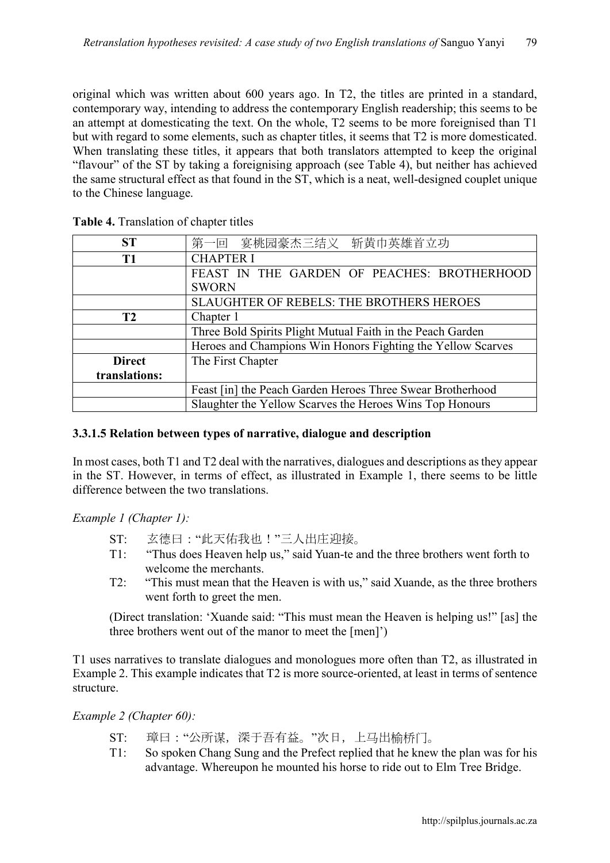original which was written about 600 years ago. In T2, the titles are printed in a standard, contemporary way, intending to address the contemporary English readership; this seems to be an attempt at domesticating the text. On the whole, T2 seems to be more foreignised than T1 but with regard to some elements, such as chapter titles, it seems that T2 is more domesticated. When translating these titles, it appears that both translators attempted to keep the original "flavour" of the ST by taking a foreignising approach (see Table 4), but neither has achieved the same structural effect as that found in the ST, which is a neat, well-designed couplet unique to the Chinese language.

| <b>ST</b>      | 第一回 宴桃园豪杰三结义 斩黄巾英雄首立功                                       |  |  |
|----------------|-------------------------------------------------------------|--|--|
| T1             | <b>CHAPTER I</b>                                            |  |  |
|                | FEAST IN THE GARDEN OF PEACHES: BROTHERHOOD                 |  |  |
|                | <b>SWORN</b>                                                |  |  |
|                | SLAUGHTER OF REBELS: THE BROTHERS HEROES                    |  |  |
| T <sub>2</sub> | Chapter 1                                                   |  |  |
|                | Three Bold Spirits Plight Mutual Faith in the Peach Garden  |  |  |
|                | Heroes and Champions Win Honors Fighting the Yellow Scarves |  |  |
| <b>Direct</b>  | The First Chapter                                           |  |  |
| translations:  |                                                             |  |  |
|                | Feast [in] the Peach Garden Heroes Three Swear Brotherhood  |  |  |
|                | Slaughter the Yellow Scarves the Heroes Wins Top Honours    |  |  |

Table 4. Translation of chapter titles

## 3.3.1.5 Relation between types of narrative, dialogue and description

In most cases, both T1 and T2 deal with the narratives, dialogues and descriptions as they appear in the ST. However, in terms of effect, as illustrated in Example 1, there seems to be little difference between the two translations.

*Example 1 (Chapter 1):*

- ST: 玄德曰:"此天佑我也!"三人出庄迎接。
- T1: "Thus does Heaven help us," said Yuan-te and the three brothers went forth to welcome the merchants.
- T2: "This must mean that the Heaven is with us," said Xuande, as the three brothers went forth to greet the men.

(Direct translation: 'Xuande said: "This must mean the Heaven is helping us!" [as] the three brothers went out of the manor to meet the [men]')

T1 uses narratives to translate dialogues and monologues more often than T2, as illustrated in Example 2. This example indicates that T2 is more source-oriented, at least in terms of sentence structure.

*Example 2 (Chapter 60):*

- ST: 璋曰:"公所谋,深于吾有益。"次日,上马出榆桥门。
- T1: So spoken Chang Sung and the Prefect replied that he knew the plan was for his advantage. Whereupon he mounted his horse to ride out to Elm Tree Bridge.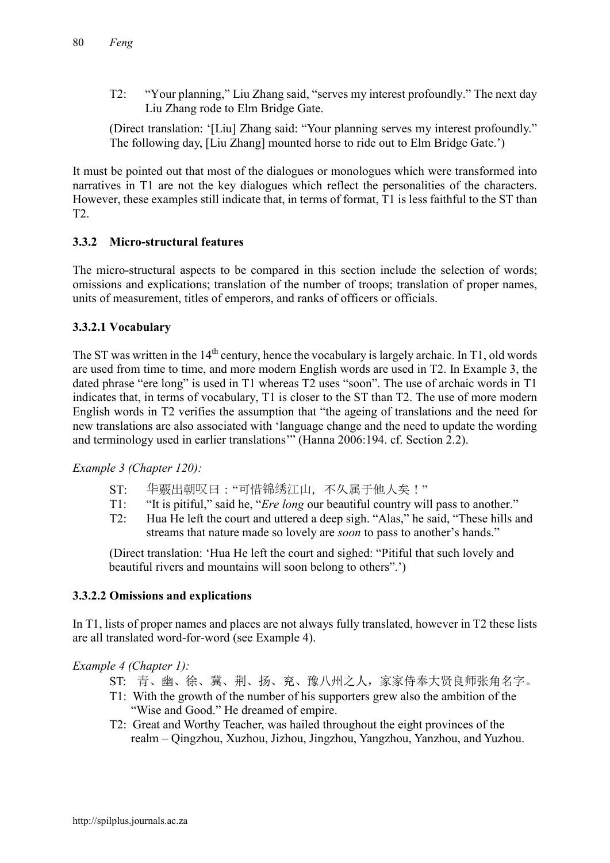T2: "Your planning," Liu Zhang said, "serves my interest profoundly." The next day Liu Zhang rode to Elm Bridge Gate.

(Direct translation: '[Liu] Zhang said: "Your planning serves my interest profoundly." The following day, [Liu Zhang] mounted horse to ride out to Elm Bridge Gate.')

It must be pointed out that most of the dialogues or monologues which were transformed into narratives in T1 are not the key dialogues which reflect the personalities of the characters. However, these examples still indicate that, in terms of format, T1 is less faithful to the ST than T2.

# 3.3.2 Micro-structural features

The micro-structural aspects to be compared in this section include the selection of words; omissions and explications; translation of the number of troops; translation of proper names, units of measurement, titles of emperors, and ranks of officers or officials.

# 3.3.2.1 Vocabulary

The ST was written in the  $14<sup>th</sup>$  century, hence the vocabulary is largely archaic. In T1, old words are used from time to time, and more modern English words are used in T2. In Example 3, the dated phrase "ere long" is used in T1 whereas T2 uses "soon". The use of archaic words in T1 indicates that, in terms of vocabulary, T1 is closer to the ST than T2. The use of more modern English words in T2 verifies the assumption that "the ageing of translations and the need for new translations are also associated with 'language change and the need to update the wording and terminology used in earlier translations'" (Hanna 2006:194. cf. Section 2.2).

*Example 3 (Chapter 120):*

- ST: 华覈出朝叹曰:"可惜锦绣江山,不久属于他人矣!"
- T1: "It is pitiful," said he, "*Ere long* our beautiful country will pass to another."
- T2: Hua He left the court and uttered a deep sigh. "Alas," he said, "These hills and streams that nature made so lovely are *soon* to pass to another's hands."

(Direct translation: 'Hua He left the court and sighed: "Pitiful that such lovely and beautiful rivers and mountains will soon belong to others".')

## 3.3.2.2 Omissions and explications

In T1, lists of proper names and places are not always fully translated, however in T2 these lists are all translated word-for-word (see Example 4).

*Example 4 (Chapter 1):*

- ST: 青、幽、徐、冀、荆、扬、兖、豫八州之人,家家侍奉大贤良师张角名字。
- T1: With the growth of the number of his supporters grew also the ambition of the "Wise and Good." He dreamed of empire.
- T2: Great and Worthy Teacher, was hailed throughout the eight provinces of the realm – Qingzhou, Xuzhou, Jizhou, Jingzhou, Yangzhou, Yanzhou, and Yuzhou.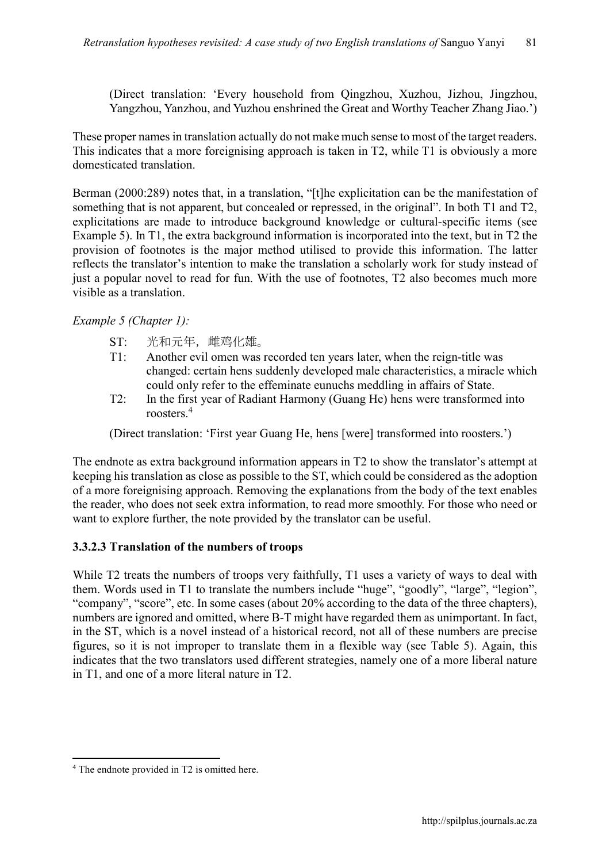(Direct translation: 'Every household from Qingzhou, Xuzhou, Jizhou, Jingzhou, Yangzhou, Yanzhou, and Yuzhou enshrined the Great and Worthy Teacher Zhang Jiao.')

These proper names in translation actually do not make much sense to most of the target readers. This indicates that a more foreignising approach is taken in T2, while T1 is obviously a more domesticated translation.

Berman (2000:289) notes that, in a translation, "[t]he explicitation can be the manifestation of something that is not apparent, but concealed or repressed, in the original". In both T1 and T2, explicitations are made to introduce background knowledge or cultural-specific items (see Example 5). In T1, the extra background information is incorporated into the text, but in T2 the provision of footnotes is the major method utilised to provide this information. The latter reflects the translator's intention to make the translation a scholarly work for study instead of just a popular novel to read for fun. With the use of footnotes, T2 also becomes much more visible as a translation.

## *Example 5 (Chapter 1):*

- ST: 光和元年,雌鸡化雄。
- T1: Another evil omen was recorded ten years later, when the reign-title was changed: certain hens suddenly developed male characteristics, a miracle which could only refer to the effeminate eunuchs meddling in affairs of State.
- T2: In the first year of Radiant Harmony (Guang He) hens were transformed into roosters.<sup>4</sup>

(Direct translation: 'First year Guang He, hens [were] transformed into roosters.')

The endnote as extra background information appears in T2 to show the translator's attempt at keeping his translation as close as possible to the ST, which could be considered as the adoption of a more foreignising approach. Removing the explanations from the body of the text enables the reader, who does not seek extra information, to read more smoothly. For those who need or want to explore further, the note provided by the translator can be useful.

#### 3.3.2.3 Translation of the numbers of troops

While T2 treats the numbers of troops very faithfully, T1 uses a variety of ways to deal with them. Words used in T1 to translate the numbers include "huge", "goodly", "large", "legion", "company", "score", etc. In some cases (about 20% according to the data of the three chapters), numbers are ignored and omitted, where B-T might have regarded them as unimportant. In fact, in the ST, which is a novel instead of a historical record, not all of these numbers are precise figures, so it is not improper to translate them in a flexible way (see Table 5). Again, this indicates that the two translators used different strategies, namely one of a more liberal nature in T1, and one of a more literal nature in T2.

 $\overline{\phantom{a}}$ <sup>4</sup> The endnote provided in T2 is omitted here.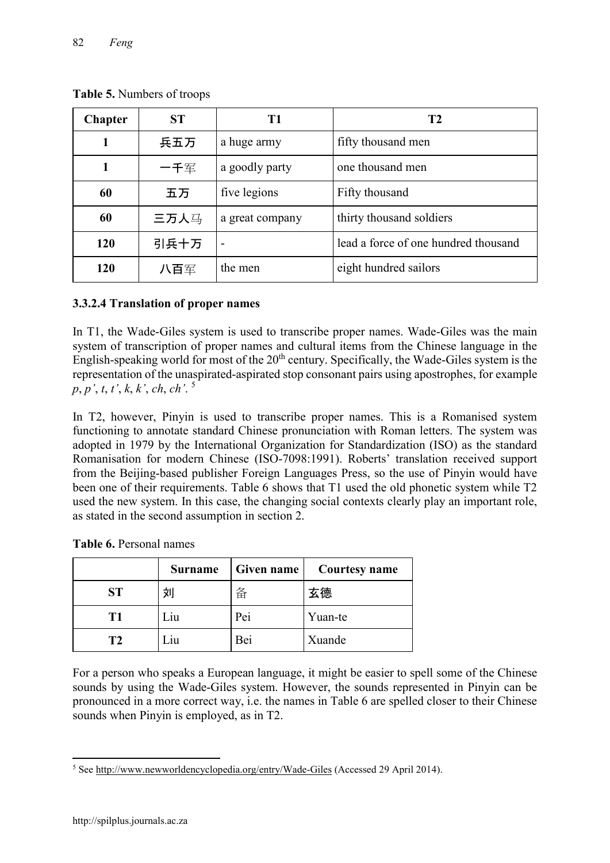| <b>Chapter</b> | <b>ST</b>      | T <sub>1</sub>  | T <sub>2</sub>                       |
|----------------|----------------|-----------------|--------------------------------------|
|                | 兵五万            | a huge army     | fifty thousand men                   |
|                | 一千军            | a goodly party  | one thousand men                     |
| 60             | 五万             | five legions    | Fifty thousand                       |
| 60             | 三万人马           | a great company | thirty thousand soldiers             |
| 引兵十万<br>120    |                |                 | lead a force of one hundred thousand |
| 120            | the men<br>八百军 |                 | eight hundred sailors                |

Table 5. Numbers of troops

# 3.3.2.4 Translation of proper names

In T1, the Wade-Giles system is used to transcribe proper names. Wade-Giles was the main system of transcription of proper names and cultural items from the Chinese language in the English-speaking world for most of the  $20<sup>th</sup>$  [century.](http://en.wikipedia.org/wiki/20th_century) Specifically, the Wade-Giles system is the representation of the unaspirated-aspirated stop consonant pairs using apostrophes, for example *p*, *p'*, *t*, *t'*, *k*, *k'*, *ch*, *ch'*. <sup>5</sup>

In T2, however, Pinyin is used to transcribe proper names. This is a Romanised system functioning to annotate standard Chinese pronunciation with Roman letters. The system was adopted in 1979 by the [International Organization for Standardization](http://en.wikipedia.org/wiki/international_organization_for_standardization) (ISO) as the standard Romanisation for modern Chinese (ISO-7098:1991). Roberts' translation received support from the Beijing-based publisher Foreign Languages Press, so the use of Pinyin would have been one of their requirements. Table 6 shows that T1 used the old phonetic system while T2 used the new system. In this case, the changing social contexts clearly play an important role, as stated in the second assumption in section 2.

|           | <b>Surname</b> | Given name | <b>Courtesy name</b> |
|-----------|----------------|------------|----------------------|
| <b>ST</b> | 刘              | 备          | 玄德                   |
| T1        | лu             | Pei        | Yuan-te              |
| T2        | лu             | Bei        | Xuande               |

| Table 6. Personal names |  |
|-------------------------|--|
|-------------------------|--|

For a person who speaks a European language, it might be easier to spell some of the Chinese sounds by using the Wade-Giles system. However, the sounds represented in Pinyin can be pronounced in a more correct way, i.e. the names in Table 6 are spelled closer to their Chinese sounds when Pinyin is employed, as in T2.

 $\overline{\phantom{a}}$ <sup>5</sup> See http://www.newworldencyclopedia.org/entry/Wade-Giles (Accessed 29 April 2014).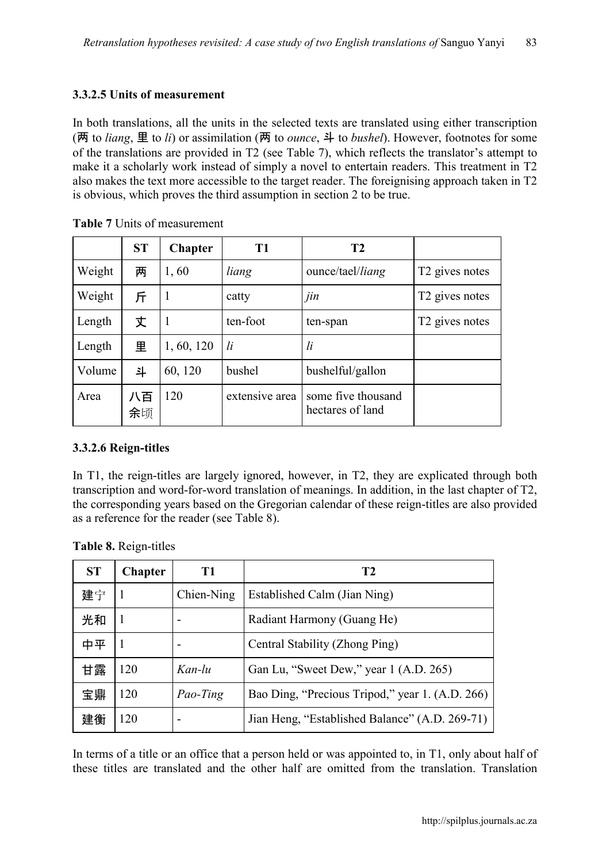## 3.3.2.5 Units of measurement

In both translations, all the units in the selected texts are translated using either transcription (两 to *liang*, 里 to *li*) or assimilation (两 to *ounce*, 斗 to *bushel*). However, footnotes for some of the translations are provided in T2 (see Table 7), which reflects the translator's attempt to make it a scholarly work instead of simply a novel to entertain readers. This treatment in T2 also makes the text more accessible to the target reader. The foreignising approach taken in T2 is obvious, which proves the third assumption in section 2 to be true.

|        | <b>ST</b> | <b>Chapter</b> | T <sub>1</sub>                                           | T <sub>2</sub>   |                            |
|--------|-----------|----------------|----------------------------------------------------------|------------------|----------------------------|
| Weight | 两         | 1,60           | liang                                                    | ounce/tael/liang | T <sub>2</sub> gives notes |
| Weight | 斤         | 1              | catty                                                    | jin              | T <sub>2</sub> gives notes |
| Length | 丈         | $\mathbf{1}$   | ten-foot<br>ten-span                                     |                  | T <sub>2</sub> gives notes |
| Length | 里         | 1, 60, 120     | li<br><i>li</i>                                          |                  |                            |
| Volume | 斗         | 60, 120        | bushel<br>bushelful/gallon                               |                  |                            |
| Area   | 八百<br>余顷  | 120            | extensive area<br>some five thousand<br>hectares of land |                  |                            |

Table 7 Units of measurement

## 3.3.2.6 Reign-titles

In T1, the reign-titles are largely ignored, however, in T2, they are explicated through both transcription and word-for-word translation of meanings. In addition, in the last chapter of T2, the corresponding years based on the Gregorian calendar of these reign-titles are also provided as a reference for the reader (see Table 8).

| Table 8. Reign-titles |  |
|-----------------------|--|
|                       |  |

| <b>ST</b> | <b>Chapter</b> | Т1         | T <sub>2</sub>                                  |
|-----------|----------------|------------|-------------------------------------------------|
| 建宁        |                | Chien-Ning | Established Calm (Jian Ning)                    |
| 光和        |                | -          | Radiant Harmony (Guang He)                      |
| 中平        |                |            | Central Stability (Zhong Ping)                  |
| 甘露        | 120            | Kan-lu     | Gan Lu, "Sweet Dew," year 1 (A.D. 265)          |
| 宝鼎        | 120            | Pao-Ting   | Bao Ding, "Precious Tripod," year 1. (A.D. 266) |
| 建衡        | 120            |            | Jian Heng, "Established Balance" (A.D. 269-71)  |

In terms of a title or an office that a person held or was appointed to, in T1, only about half of these titles are translated and the other half are omitted from the translation. Translation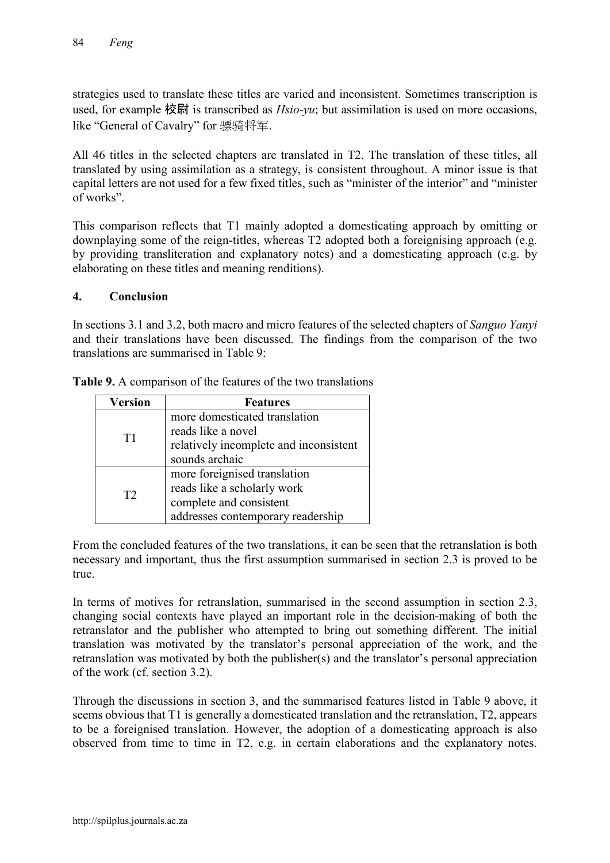strategies used to translate these titles are varied and inconsistent. Sometimes transcription is used, for example 校尉 is transcribed as *Hsio-yu*; but assimilation is used on more occasions, like "General of Cavalry" for 骠骑将军.

All 46 titles in the selected chapters are translated in T2. The translation of these titles, all translated by using assimilation as a strategy, is consistent throughout. A minor issue is that capital letters are not used for a few fixed titles, such as "minister of the interior" and "minister of works".

This comparison reflects that T1 mainly adopted a domesticating approach by omitting or downplaying some of the reign-titles, whereas T2 adopted both a foreignising approach (e.g. by providing transliteration and explanatory notes) and a domesticating approach (e.g. by elaborating on these titles and meaning renditions).

#### 4. Conclusion

In sections 3.1 and 3.2, both macro and micro features of the selected chapters of *Sanguo Yanyi* and their translations have been discussed. The findings from the comparison of the two translations are summarised in Table 9:

| <b>Version</b> | <b>Features</b>                        |  |  |
|----------------|----------------------------------------|--|--|
|                | more domesticated translation          |  |  |
| T1             | reads like a novel                     |  |  |
|                | relatively incomplete and inconsistent |  |  |
|                | sounds archaic                         |  |  |
|                | more foreignised translation           |  |  |
| T <sub>2</sub> | reads like a scholarly work            |  |  |
|                | complete and consistent                |  |  |
|                | addresses contemporary readership      |  |  |

Table 9. A comparison of the features of the two translations

From the concluded features of the two translations, it can be seen that the retranslation is both necessary and important, thus the first assumption summarised in section 2.3 is proved to be true.

In terms of motives for retranslation, summarised in the second assumption in section 2.3, changing social contexts have played an important role in the decision-making of both the retranslator and the publisher who attempted to bring out something different. The initial translation was motivated by the translator's personal appreciation of the work, and the retranslation was motivated by both the publisher(s) and the translator's personal appreciation of the work (cf. section 3.2).

Through the discussions in section 3, and the summarised features listed in Table 9 above, it seems obvious that T1 is generally a domesticated translation and the retranslation, T2, appears to be a foreignised translation. However, the adoption of a domesticating approach is also observed from time to time in T2, e.g. in certain elaborations and the explanatory notes.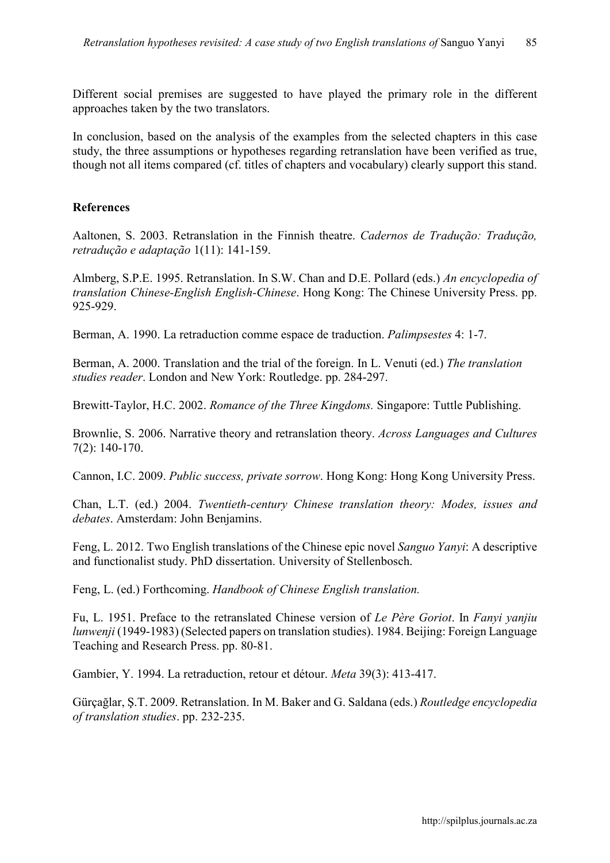Different social premises are suggested to have played the primary role in the different approaches taken by the two translators.

In conclusion, based on the analysis of the examples from the selected chapters in this case study, the three assumptions or hypotheses regarding retranslation have been verified as true, though not all items compared (cf. titles of chapters and vocabulary) clearly support this stand.

#### References

Aaltonen, S. 2003. Retranslation in the Finnish theatre. *Cadernos de Tradução: Tradução, retradução e adaptação* 1(11): 141-159.

Almberg, S.P.E. 1995. Retranslation. In S.W. Chan and D.E. Pollard (eds.) *An encyclopedia of translation Chinese-English English-Chinese*. Hong Kong: The Chinese University Press. pp. 925-929.

Berman, A. 1990. La retraduction comme espace de traduction. *Palimpsestes* 4: 1-7.

Berman, A. 2000. Translation and the trial of the foreign. In L. Venuti (ed.) *The translation studies reader*. London and New York: Routledge. pp. 284-297.

Brewitt-Taylor, H.C. 2002. *Romance of the Three Kingdoms.* Singapore: Tuttle Publishing.

Brownlie, S. 2006. Narrative theory and retranslation theory. *Across Languages and Cultures* 7(2): 140-170.

Cannon, I.C. 2009. *Public success, private sorrow*. Hong Kong: Hong Kong University Press.

Chan, L.T. (ed.) 2004. *Twentieth-century Chinese translation theory: Modes, issues and debates*. Amsterdam: John Benjamins.

Feng, L. 2012. Two English translations of the Chinese epic novel *Sanguo Yanyi*: A descriptive and functionalist study. PhD dissertation. University of Stellenbosch.

Feng, L. (ed.) Forthcoming. *Handbook of Chinese English translation.*

Fu, L. 1951. Preface to the retranslated Chinese version of *[Le Père Goriot](http://en.wikipedia.org/wiki/le_p%25c3%25a8re_goriot)*. In *Fanyi yanjiu lunwenji* (1949-1983) (Selected papers on translation studies). 1984. Beijing: Foreign Language Teaching and Research Press. pp. 80-81.

Gambier, Y. 1994. La retraduction, retour et détour. *Meta* 39(3): 413-417.

Gürçağlar, Ş.T. 2009. Retranslation. In M. Baker and G. Saldana (eds.) *Routledge encyclopedia of translation studies*. pp. 232-235.